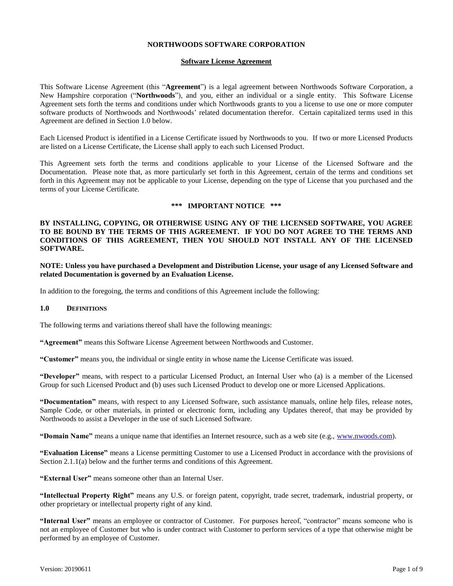## **NORTHWOODS SOFTWARE CORPORATION**

### **Software License Agreement**

This Software License Agreement (this "**Agreement**") is a legal agreement between Northwoods Software Corporation, a New Hampshire corporation ("**Northwoods**"), and you, either an individual or a single entity. This Software License Agreement sets forth the terms and conditions under which Northwoods grants to you a license to use one or more computer software products of Northwoods and Northwoods' related documentation therefor. Certain capitalized terms used in this Agreement are defined in Section 1.0 below.

Each Licensed Product is identified in a License Certificate issued by Northwoods to you. If two or more Licensed Products are listed on a License Certificate, the License shall apply to each such Licensed Product.

This Agreement sets forth the terms and conditions applicable to your License of the Licensed Software and the Documentation. Please note that, as more particularly set forth in this Agreement, certain of the terms and conditions set forth in this Agreement may not be applicable to your License, depending on the type of License that you purchased and the terms of your License Certificate.

#### **\*\*\* IMPORTANT NOTICE \*\*\***

# **BY INSTALLING, COPYING, OR OTHERWISE USING ANY OF THE LICENSED SOFTWARE, YOU AGREE TO BE BOUND BY THE TERMS OF THIS AGREEMENT. IF YOU DO NOT AGREE TO THE TERMS AND CONDITIONS OF THIS AGREEMENT, THEN YOU SHOULD NOT INSTALL ANY OF THE LICENSED SOFTWARE.**

**NOTE: Unless you have purchased a Development and Distribution License, your usage of any Licensed Software and related Documentation is governed by an Evaluation License.**

In addition to the foregoing, the terms and conditions of this Agreement include the following:

#### **1.0 DEFINITIONS**

The following terms and variations thereof shall have the following meanings:

**"Agreement"** means this Software License Agreement between Northwoods and Customer.

**"Customer"** means you, the individual or single entity in whose name the License Certificate was issued.

**"Developer"** means, with respect to a particular Licensed Product, an Internal User who (a) is a member of the Licensed Group for such Licensed Product and (b) uses such Licensed Product to develop one or more Licensed Applications.

**"Documentation"** means, with respect to any Licensed Software, such assistance manuals, online help files, release notes, Sample Code, or other materials, in printed or electronic form, including any Updates thereof, that may be provided by Northwoods to assist a Developer in the use of such Licensed Software.

**"Domain Name"** means a unique name that identifies an Internet resource, such as a web site (e.g., [www.nwoods.com\)](http://www.nwoods.com/).

**"Evaluation License"** means a License permitting Customer to use a Licensed Product in accordance with the provisions of Section 2.1.1(a) below and the further terms and conditions of this Agreement.

**"External User"** means someone other than an Internal User.

**"Intellectual Property Right"** means any U.S. or foreign patent, copyright, trade secret, trademark, industrial property, or other proprietary or intellectual property right of any kind.

**"Internal User"** means an employee or contractor of Customer. For purposes hereof, "contractor" means someone who is not an employee of Customer but who is under contract with Customer to perform services of a type that otherwise might be performed by an employee of Customer.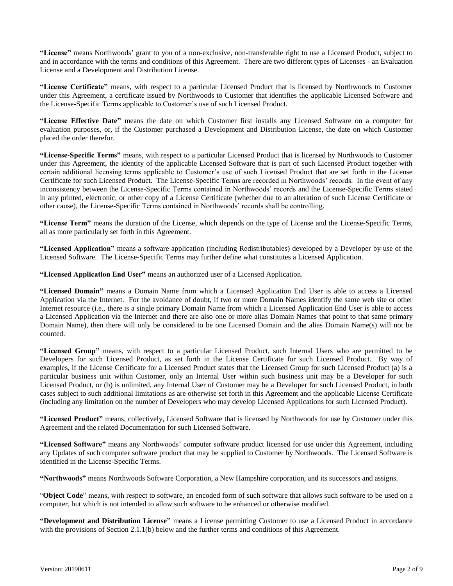**"License"** means Northwoods' grant to you of a non-exclusive, non-transferable right to use a Licensed Product, subject to and in accordance with the terms and conditions of this Agreement. There are two different types of Licenses - an Evaluation License and a Development and Distribution License.

**"License Certificate"** means, with respect to a particular Licensed Product that is licensed by Northwoods to Customer under this Agreement, a certificate issued by Northwoods to Customer that identifies the applicable Licensed Software and the License-Specific Terms applicable to Customer's use of such Licensed Product.

**"License Effective Date"** means the date on which Customer first installs any Licensed Software on a computer for evaluation purposes, or, if the Customer purchased a Development and Distribution License, the date on which Customer placed the order therefor.

**"License-Specific Terms"** means, with respect to a particular Licensed Product that is licensed by Northwoods to Customer under this Agreement, the identity of the applicable Licensed Software that is part of such Licensed Product together with certain additional licensing terms applicable to Customer's use of such Licensed Product that are set forth in the License Certificate for such Licensed Product. The License-Specific Terms are recorded in Northwoods' records. In the event of any inconsistency between the License-Specific Terms contained in Northwoods' records and the License-Specific Terms stated in any printed, electronic, or other copy of a License Certificate (whether due to an alteration of such License Certificate or other cause), the License-Specific Terms contained in Northwoods' records shall be controlling.

**"License Term"** means the duration of the License, which depends on the type of License and the License-Specific Terms, all as more particularly set forth in this Agreement.

**"Licensed Application"** means a software application (including Redistributables) developed by a Developer by use of the Licensed Software. The License-Specific Terms may further define what constitutes a Licensed Application.

**"Licensed Application End User"** means an authorized user of a Licensed Application.

**"Licensed Domain"** means a Domain Name from which a Licensed Application End User is able to access a Licensed Application via the Internet. For the avoidance of doubt, if two or more Domain Names identify the same web site or other Internet resource (i.e., there is a single primary Domain Name from which a Licensed Application End User is able to access a Licensed Application via the Internet and there are also one or more alias Domain Names that point to that same primary Domain Name), then there will only be considered to be one Licensed Domain and the alias Domain Name(s) will not be counted.

**"Licensed Group"** means, with respect to a particular Licensed Product, such Internal Users who are permitted to be Developers for such Licensed Product, as set forth in the License Certificate for such Licensed Product. By way of examples, if the License Certificate for a Licensed Product states that the Licensed Group for such Licensed Product (a) is a particular business unit within Customer, only an Internal User within such business unit may be a Developer for such Licensed Product, or (b) is unlimited, any Internal User of Customer may be a Developer for such Licensed Product, in both cases subject to such additional limitations as are otherwise set forth in this Agreement and the applicable License Certificate (including any limitation on the number of Developers who may develop Licensed Applications for such Licensed Product).

**"Licensed Product"** means, collectively, Licensed Software that is licensed by Northwoods for use by Customer under this Agreement and the related Documentation for such Licensed Software.

**"Licensed Software"** means any Northwoods' computer software product licensed for use under this Agreement, including any Updates of such computer software product that may be supplied to Customer by Northwoods. The Licensed Software is identified in the License-Specific Terms.

**"Northwoods"** means Northwoods Software Corporation, a New Hampshire corporation, and its successors and assigns.

"**Object Code**" means, with respect to software, an encoded form of such software that allows such software to be used on a computer, but which is not intended to allow such software to be enhanced or otherwise modified.

**"Development and Distribution License"** means a License permitting Customer to use a Licensed Product in accordance with the provisions of Section 2.1.1(b) below and the further terms and conditions of this Agreement.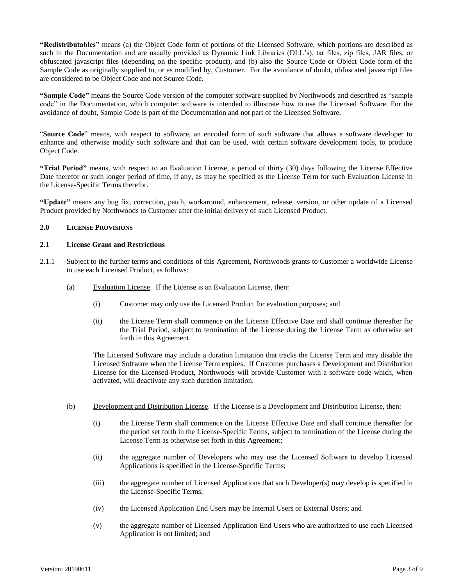**"Redistributables"** means (a) the Object Code form of portions of the Licensed Software, which portions are described as such in the Documentation and are usually provided as Dynamic Link Libraries (DLL's), tar files, zip files, JAR files, or obfuscated javascript files (depending on the specific product), and (b) also the Source Code or Object Code form of the Sample Code as originally supplied to, or as modified by, Customer. For the avoidance of doubt, obfuscated javascript files are considered to be Object Code and not Source Code.

**"Sample Code"** means the Source Code version of the computer software supplied by Northwoods and described as "sample code" in the Documentation, which computer software is intended to illustrate how to use the Licensed Software. For the avoidance of doubt, Sample Code is part of the Documentation and not part of the Licensed Software.

"**Source Code**" means, with respect to software, an encoded form of such software that allows a software developer to enhance and otherwise modify such software and that can be used, with certain software development tools, to produce Object Code.

**"Trial Period"** means, with respect to an Evaluation License, a period of thirty (30) days following the License Effective Date therefor or such longer period of time, if any, as may be specified as the License Term for such Evaluation License in the License-Specific Terms therefor.

**"Update"** means any bug fix, correction, patch, workaround, enhancement, release, version, or other update of a Licensed Product provided by Northwoods to Customer after the initial delivery of such Licensed Product.

## **2.0 LICENSE PROVISIONS**

## **2.1 License Grant and Restrictions**

- 2.1.1 Subject to the further terms and conditions of this Agreement, Northwoods grants to Customer a worldwide License to use each Licensed Product, as follows:
	- (a) Evaluation License. If the License is an Evaluation License, then:
		- (i) Customer may only use the Licensed Product for evaluation purposes; and
		- (ii) the License Term shall commence on the License Effective Date and shall continue thereafter for the Trial Period, subject to termination of the License during the License Term as otherwise set forth in this Agreement.

The Licensed Software may include a duration limitation that tracks the License Term and may disable the Licensed Software when the License Term expires. If Customer purchases a Development and Distribution License for the Licensed Product, Northwoods will provide Customer with a software code which, when activated, will deactivate any such duration limitation.

- (b) Development and Distribution License. If the License is a Development and Distribution License, then:
	- (i) the License Term shall commence on the License Effective Date and shall continue thereafter for the period set forth in the License-Specific Terms, subject to termination of the License during the License Term as otherwise set forth in this Agreement;
	- (ii) the aggregate number of Developers who may use the Licensed Software to develop Licensed Applications is specified in the License-Specific Terms;
	- (iii) the aggregate number of Licensed Applications that such Developer(s) may develop is specified in the License-Specific Terms;
	- (iv) the Licensed Application End Users may be Internal Users or External Users; and
	- (v) the aggregate number of Licensed Application End Users who are authorized to use each Licensed Application is not limited; and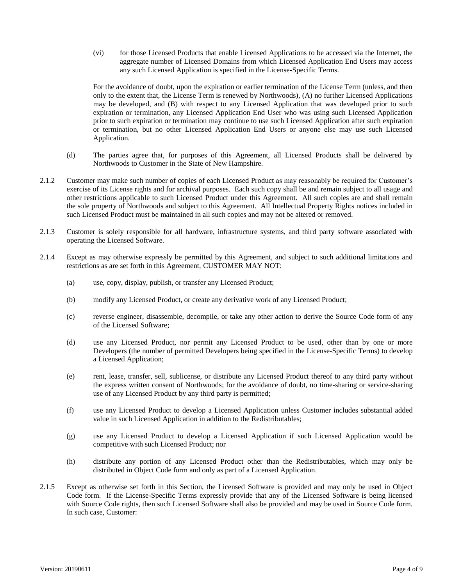(vi) for those Licensed Products that enable Licensed Applications to be accessed via the Internet, the aggregate number of Licensed Domains from which Licensed Application End Users may access any such Licensed Application is specified in the License-Specific Terms.

For the avoidance of doubt, upon the expiration or earlier termination of the License Term (unless, and then only to the extent that, the License Term is renewed by Northwoods), (A) no further Licensed Applications may be developed, and (B) with respect to any Licensed Application that was developed prior to such expiration or termination, any Licensed Application End User who was using such Licensed Application prior to such expiration or termination may continue to use such Licensed Application after such expiration or termination, but no other Licensed Application End Users or anyone else may use such Licensed Application.

- (d) The parties agree that, for purposes of this Agreement, all Licensed Products shall be delivered by Northwoods to Customer in the State of New Hampshire.
- 2.1.2 Customer may make such number of copies of each Licensed Product as may reasonably be required for Customer's exercise of its License rights and for archival purposes. Each such copy shall be and remain subject to all usage and other restrictions applicable to such Licensed Product under this Agreement. All such copies are and shall remain the sole property of Northwoods and subject to this Agreement. All Intellectual Property Rights notices included in such Licensed Product must be maintained in all such copies and may not be altered or removed.
- 2.1.3 Customer is solely responsible for all hardware, infrastructure systems, and third party software associated with operating the Licensed Software.
- 2.1.4 Except as may otherwise expressly be permitted by this Agreement, and subject to such additional limitations and restrictions as are set forth in this Agreement, CUSTOMER MAY NOT:
	- (a) use, copy, display, publish, or transfer any Licensed Product;
	- (b) modify any Licensed Product, or create any derivative work of any Licensed Product;
	- (c) reverse engineer, disassemble, decompile, or take any other action to derive the Source Code form of any of the Licensed Software;
	- (d) use any Licensed Product, nor permit any Licensed Product to be used, other than by one or more Developers (the number of permitted Developers being specified in the License-Specific Terms) to develop a Licensed Application;
	- (e) rent, lease, transfer, sell, sublicense, or distribute any Licensed Product thereof to any third party without the express written consent of Northwoods; for the avoidance of doubt, no time-sharing or service-sharing use of any Licensed Product by any third party is permitted;
	- (f) use any Licensed Product to develop a Licensed Application unless Customer includes substantial added value in such Licensed Application in addition to the Redistributables;
	- (g) use any Licensed Product to develop a Licensed Application if such Licensed Application would be competitive with such Licensed Product; nor
	- (h) distribute any portion of any Licensed Product other than the Redistributables, which may only be distributed in Object Code form and only as part of a Licensed Application.
- 2.1.5 Except as otherwise set forth in this Section, the Licensed Software is provided and may only be used in Object Code form. If the License-Specific Terms expressly provide that any of the Licensed Software is being licensed with Source Code rights, then such Licensed Software shall also be provided and may be used in Source Code form. In such case, Customer: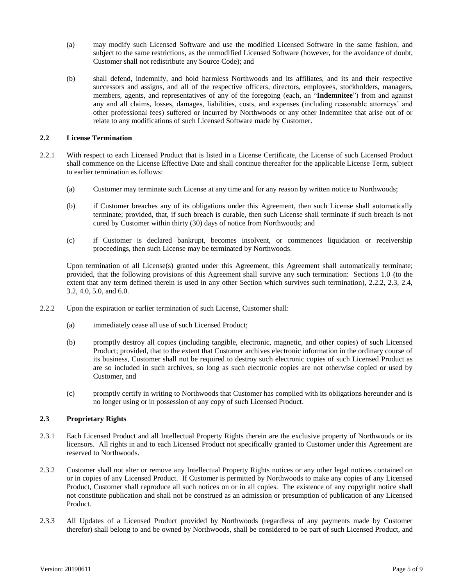- (a) may modify such Licensed Software and use the modified Licensed Software in the same fashion, and subject to the same restrictions, as the unmodified Licensed Software (however, for the avoidance of doubt, Customer shall not redistribute any Source Code); and
- (b) shall defend, indemnify, and hold harmless Northwoods and its affiliates, and its and their respective successors and assigns, and all of the respective officers, directors, employees, stockholders, managers, members, agents, and representatives of any of the foregoing (each, an "**Indemnitee**") from and against any and all claims, losses, damages, liabilities, costs, and expenses (including reasonable attorneys' and other professional fees) suffered or incurred by Northwoods or any other Indemnitee that arise out of or relate to any modifications of such Licensed Software made by Customer.

## **2.2 License Termination**

- 2.2.1 With respect to each Licensed Product that is listed in a License Certificate, the License of such Licensed Product shall commence on the License Effective Date and shall continue thereafter for the applicable License Term, subject to earlier termination as follows:
	- (a) Customer may terminate such License at any time and for any reason by written notice to Northwoods;
	- (b) if Customer breaches any of its obligations under this Agreement, then such License shall automatically terminate; provided, that, if such breach is curable, then such License shall terminate if such breach is not cured by Customer within thirty (30) days of notice from Northwoods; and
	- (c) if Customer is declared bankrupt, becomes insolvent, or commences liquidation or receivership proceedings, then such License may be terminated by Northwoods.

Upon termination of all License(s) granted under this Agreement, this Agreement shall automatically terminate; provided, that the following provisions of this Agreement shall survive any such termination: Sections 1.0 (to the extent that any term defined therein is used in any other Section which survives such termination), 2.2.2, 2.3, 2.4, 3.2, 4.0, 5.0, and 6.0.

- 2.2.2 Upon the expiration or earlier termination of such License, Customer shall:
	- (a) immediately cease all use of such Licensed Product;
	- (b) promptly destroy all copies (including tangible, electronic, magnetic, and other copies) of such Licensed Product; provided, that to the extent that Customer archives electronic information in the ordinary course of its business, Customer shall not be required to destroy such electronic copies of such Licensed Product as are so included in such archives, so long as such electronic copies are not otherwise copied or used by Customer, and
	- (c) promptly certify in writing to Northwoods that Customer has complied with its obligations hereunder and is no longer using or in possession of any copy of such Licensed Product.

# **2.3 Proprietary Rights**

- 2.3.1 Each Licensed Product and all Intellectual Property Rights therein are the exclusive property of Northwoods or its licensors. All rights in and to each Licensed Product not specifically granted to Customer under this Agreement are reserved to Northwoods.
- 2.3.2 Customer shall not alter or remove any Intellectual Property Rights notices or any other legal notices contained on or in copies of any Licensed Product. If Customer is permitted by Northwoods to make any copies of any Licensed Product, Customer shall reproduce all such notices on or in all copies. The existence of any copyright notice shall not constitute publication and shall not be construed as an admission or presumption of publication of any Licensed Product.
- 2.3.3 All Updates of a Licensed Product provided by Northwoods (regardless of any payments made by Customer therefor) shall belong to and be owned by Northwoods, shall be considered to be part of such Licensed Product, and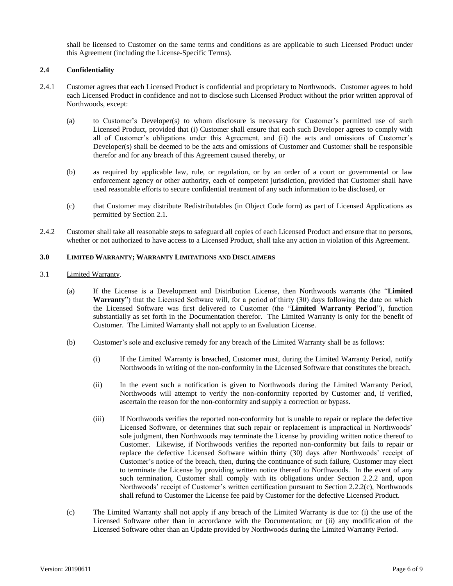shall be licensed to Customer on the same terms and conditions as are applicable to such Licensed Product under this Agreement (including the License-Specific Terms).

# **2.4 Confidentiality**

- 2.4.1 Customer agrees that each Licensed Product is confidential and proprietary to Northwoods. Customer agrees to hold each Licensed Product in confidence and not to disclose such Licensed Product without the prior written approval of Northwoods, except:
	- (a) to Customer's Developer(s) to whom disclosure is necessary for Customer's permitted use of such Licensed Product, provided that (i) Customer shall ensure that each such Developer agrees to comply with all of Customer's obligations under this Agreement, and (ii) the acts and omissions of Customer's Developer(s) shall be deemed to be the acts and omissions of Customer and Customer shall be responsible therefor and for any breach of this Agreement caused thereby, or
	- (b) as required by applicable law, rule, or regulation, or by an order of a court or governmental or law enforcement agency or other authority, each of competent jurisdiction, provided that Customer shall have used reasonable efforts to secure confidential treatment of any such information to be disclosed, or
	- (c) that Customer may distribute Redistributables (in Object Code form) as part of Licensed Applications as permitted by Section 2.1.
- 2.4.2 Customer shall take all reasonable steps to safeguard all copies of each Licensed Product and ensure that no persons, whether or not authorized to have access to a Licensed Product, shall take any action in violation of this Agreement.

## **3.0 LIMITED WARRANTY; WARRANTY LIMITATIONS AND DISCLAIMERS**

### 3.1 Limited Warranty.

- (a) If the License is a Development and Distribution License, then Northwoods warrants (the "**Limited Warranty**") that the Licensed Software will, for a period of thirty (30) days following the date on which the Licensed Software was first delivered to Customer (the "**Limited Warranty Period**"), function substantially as set forth in the Documentation therefor. The Limited Warranty is only for the benefit of Customer. The Limited Warranty shall not apply to an Evaluation License.
- (b) Customer's sole and exclusive remedy for any breach of the Limited Warranty shall be as follows:
	- (i) If the Limited Warranty is breached, Customer must, during the Limited Warranty Period, notify Northwoods in writing of the non-conformity in the Licensed Software that constitutes the breach.
	- (ii) In the event such a notification is given to Northwoods during the Limited Warranty Period, Northwoods will attempt to verify the non-conformity reported by Customer and, if verified, ascertain the reason for the non-conformity and supply a correction or bypass.
	- (iii) If Northwoods verifies the reported non-conformity but is unable to repair or replace the defective Licensed Software, or determines that such repair or replacement is impractical in Northwoods' sole judgment, then Northwoods may terminate the License by providing written notice thereof to Customer. Likewise, if Northwoods verifies the reported non-conformity but fails to repair or replace the defective Licensed Software within thirty (30) days after Northwoods' receipt of Customer's notice of the breach, then, during the continuance of such failure, Customer may elect to terminate the License by providing written notice thereof to Northwoods. In the event of any such termination, Customer shall comply with its obligations under Section 2.2.2 and, upon Northwoods' receipt of Customer's written certification pursuant to Section 2.2.2(c), Northwoods shall refund to Customer the License fee paid by Customer for the defective Licensed Product.
- (c) The Limited Warranty shall not apply if any breach of the Limited Warranty is due to: (i) the use of the Licensed Software other than in accordance with the Documentation; or (ii) any modification of the Licensed Software other than an Update provided by Northwoods during the Limited Warranty Period.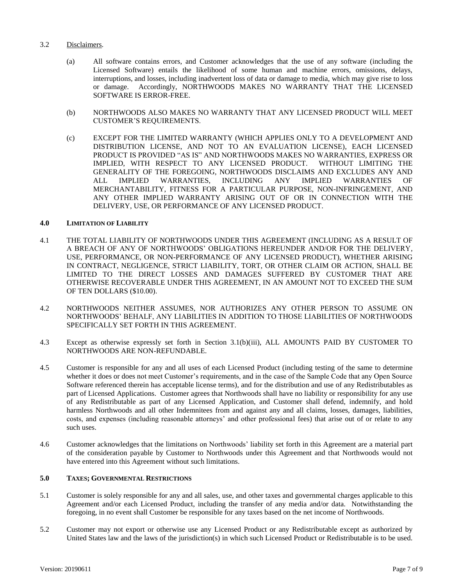# 3.2 Disclaimers.

- (a) All software contains errors, and Customer acknowledges that the use of any software (including the Licensed Software) entails the likelihood of some human and machine errors, omissions, delays, interruptions, and losses, including inadvertent loss of data or damage to media, which may give rise to loss or damage. Accordingly, NORTHWOODS MAKES NO WARRANTY THAT THE LICENSED SOFTWARE IS ERROR-FREE.
- (b) NORTHWOODS ALSO MAKES NO WARRANTY THAT ANY LICENSED PRODUCT WILL MEET CUSTOMER'S REQUIREMENTS.
- (c) EXCEPT FOR THE LIMITED WARRANTY (WHICH APPLIES ONLY TO A DEVELOPMENT AND DISTRIBUTION LICENSE, AND NOT TO AN EVALUATION LICENSE), EACH LICENSED PRODUCT IS PROVIDED "AS IS" AND NORTHWOODS MAKES NO WARRANTIES, EXPRESS OR IMPLIED, WITH RESPECT TO ANY LICENSED PRODUCT. WITHOUT LIMITING THE GENERALITY OF THE FOREGOING, NORTHWOODS DISCLAIMS AND EXCLUDES ANY AND ALL IMPLIED WARRANTIES, INCLUDING ANY IMPLIED WARRANTIES OF MERCHANTABILITY, FITNESS FOR A PARTICULAR PURPOSE, NON-INFRINGEMENT, AND ANY OTHER IMPLIED WARRANTY ARISING OUT OF OR IN CONNECTION WITH THE DELIVERY, USE, OR PERFORMANCE OF ANY LICENSED PRODUCT.

#### **4.0 LIMITATION OF LIABILITY**

- 4.1 THE TOTAL LIABILITY OF NORTHWOODS UNDER THIS AGREEMENT (INCLUDING AS A RESULT OF A BREACH OF ANY OF NORTHWOODS' OBLIGATIONS HEREUNDER AND/OR FOR THE DELIVERY, USE, PERFORMANCE, OR NON-PERFORMANCE OF ANY LICENSED PRODUCT), WHETHER ARISING IN CONTRACT, NEGLIGENCE, STRICT LIABILITY, TORT, OR OTHER CLAIM OR ACTION, SHALL BE LIMITED TO THE DIRECT LOSSES AND DAMAGES SUFFERED BY CUSTOMER THAT ARE OTHERWISE RECOVERABLE UNDER THIS AGREEMENT, IN AN AMOUNT NOT TO EXCEED THE SUM OF TEN DOLLARS (\$10.00).
- 4.2 NORTHWOODS NEITHER ASSUMES, NOR AUTHORIZES ANY OTHER PERSON TO ASSUME ON NORTHWOODS' BEHALF, ANY LIABILITIES IN ADDITION TO THOSE LIABILITIES OF NORTHWOODS SPECIFICALLY SET FORTH IN THIS AGREEMENT.
- 4.3 Except as otherwise expressly set forth in Section 3.1(b)(iii), ALL AMOUNTS PAID BY CUSTOMER TO NORTHWOODS ARE NON-REFUNDABLE.
- 4.5 Customer is responsible for any and all uses of each Licensed Product (including testing of the same to determine whether it does or does not meet Customer's requirements, and in the case of the Sample Code that any Open Source Software referenced therein has acceptable license terms), and for the distribution and use of any Redistributables as part of Licensed Applications. Customer agrees that Northwoods shall have no liability or responsibility for any use of any Redistributable as part of any Licensed Application, and Customer shall defend, indemnify, and hold harmless Northwoods and all other Indemnitees from and against any and all claims, losses, damages, liabilities, costs, and expenses (including reasonable attorneys' and other professional fees) that arise out of or relate to any such uses.
- 4.6 Customer acknowledges that the limitations on Northwoods' liability set forth in this Agreement are a material part of the consideration payable by Customer to Northwoods under this Agreement and that Northwoods would not have entered into this Agreement without such limitations.

#### **5.0 TAXES; GOVERNMENTAL RESTRICTIONS**

- 5.1 Customer is solely responsible for any and all sales, use, and other taxes and governmental charges applicable to this Agreement and/or each Licensed Product, including the transfer of any media and/or data. Notwithstanding the foregoing, in no event shall Customer be responsible for any taxes based on the net income of Northwoods.
- 5.2 Customer may not export or otherwise use any Licensed Product or any Redistributable except as authorized by United States law and the laws of the jurisdiction(s) in which such Licensed Product or Redistributable is to be used.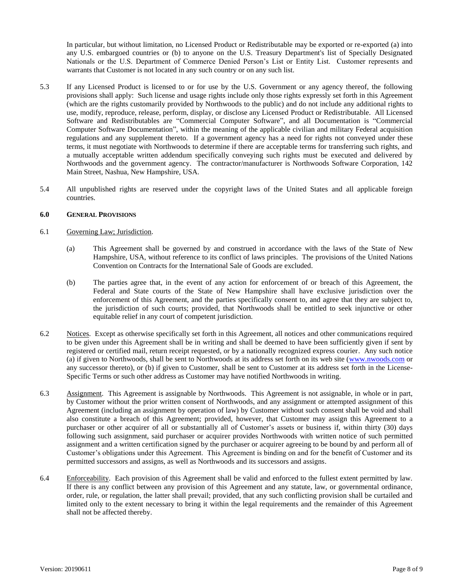In particular, but without limitation, no Licensed Product or Redistributable may be exported or re-exported (a) into any U.S. embargoed countries or (b) to anyone on the U.S. Treasury Department's list of Specially Designated Nationals or the U.S. Department of Commerce Denied Person's List or Entity List. Customer represents and warrants that Customer is not located in any such country or on any such list.

- 5.3 If any Licensed Product is licensed to or for use by the U.S. Government or any agency thereof, the following provisions shall apply: Such license and usage rights include only those rights expressly set forth in this Agreement (which are the rights customarily provided by Northwoods to the public) and do not include any additional rights to use, modify, reproduce, release, perform, display, or disclose any Licensed Product or Redistributable. All Licensed Software and Redistributables are "Commercial Computer Software", and all Documentation is "Commercial Computer Software Documentation", within the meaning of the applicable civilian and military Federal acquisition regulations and any supplement thereto. If a government agency has a need for rights not conveyed under these terms, it must negotiate with Northwoods to determine if there are acceptable terms for transferring such rights, and a mutually acceptable written addendum specifically conveying such rights must be executed and delivered by Northwoods and the government agency. The contractor/manufacturer is Northwoods Software Corporation, 142 Main Street, Nashua, New Hampshire, USA.
- 5.4 All unpublished rights are reserved under the copyright laws of the United States and all applicable foreign countries.

## **6.0 GENERAL PROVISIONS**

# 6.1 Governing Law; Jurisdiction.

- (a) This Agreement shall be governed by and construed in accordance with the laws of the State of New Hampshire, USA, without reference to its conflict of laws principles. The provisions of the United Nations Convention on Contracts for the International Sale of Goods are excluded.
- (b) The parties agree that, in the event of any action for enforcement of or breach of this Agreement, the Federal and State courts of the State of New Hampshire shall have exclusive jurisdiction over the enforcement of this Agreement, and the parties specifically consent to, and agree that they are subject to, the jurisdiction of such courts; provided, that Northwoods shall be entitled to seek injunctive or other equitable relief in any court of competent jurisdiction.
- 6.2 Notices. Except as otherwise specifically set forth in this Agreement, all notices and other communications required to be given under this Agreement shall be in writing and shall be deemed to have been sufficiently given if sent by registered or certified mail, return receipt requested, or by a nationally recognized express courier. Any such notice (a) if given to Northwoods, shall be sent to Northwoods at its address set forth on its web site [\(www.nwoods.com](http://www.nwoods.com/) or any successor thereto), or (b) if given to Customer, shall be sent to Customer at its address set forth in the License-Specific Terms or such other address as Customer may have notified Northwoods in writing.
- 6.3 Assignment. This Agreement is assignable by Northwoods. This Agreement is not assignable, in whole or in part, by Customer without the prior written consent of Northwoods, and any assignment or attempted assignment of this Agreement (including an assignment by operation of law) by Customer without such consent shall be void and shall also constitute a breach of this Agreement; provided, however, that Customer may assign this Agreement to a purchaser or other acquirer of all or substantially all of Customer's assets or business if, within thirty (30) days following such assignment, said purchaser or acquirer provides Northwoods with written notice of such permitted assignment and a written certification signed by the purchaser or acquirer agreeing to be bound by and perform all of Customer's obligations under this Agreement. This Agreement is binding on and for the benefit of Customer and its permitted successors and assigns, as well as Northwoods and its successors and assigns.
- 6.4 Enforceability. Each provision of this Agreement shall be valid and enforced to the fullest extent permitted by law. If there is any conflict between any provision of this Agreement and any statute, law, or governmental ordinance, order, rule, or regulation, the latter shall prevail; provided, that any such conflicting provision shall be curtailed and limited only to the extent necessary to bring it within the legal requirements and the remainder of this Agreement shall not be affected thereby.